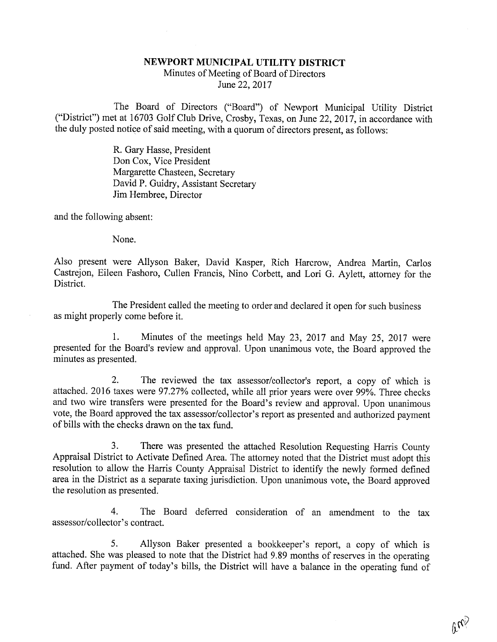## NEWPORT MUNICIPAL UTILITY DISTRICT

Minutes of Meeting of Board of Directors June 22, 2017

The Board of Directors ("Board") of Newport Municipal Utility District ("District") met at 16703 Golf Club Drive, Crosby, Texas, on June 22, 2017, in accordance with the duly posted notice of said meeting, with a quorum of directors present, as follows:

> R. Gary Hasse, President Don Cox, Vice President Margarette Chasteen, Secretary David P. Guidry, Assistant Secretary Jim Hembree, Director

and the following absent:

None.

Also present were Allyson Baker, David Kasper, Rich Harcrow, Andrea Martin, Carlos Castrejon, Eileen Fashoro, Cullen Francis, Nino Corbett, and Lori G. Aylett, attorney for the District.

The President called the meeting to order and declared it open for such business as might properly come before it.

1. Minutes of the meetings held May 23, 2017 and May 25, 2017 were presented for the Board's review and approval. Upon unanimous vote, the Board approved the minutes as presented.

2. The reviewed the tax assessor/collector's report, a copy of which is attached. 2016 taxes were 97.27% collected, while all prior years were over 99%. Three checks and two wire transfers were presented for the Board's review and approval. Upon unanimous vote, the Board approved the tax assessor/collector's report as presented and authorized payment of bills with the checks drawn on the tax fund.

3. There was presented the attached Resolution Requesting Harris County<br>Appraisal District to Activate Defined Area. The attorney noted that the District must adopt this<br>resolution to allow the Harris County Appraisal Dist area in the District as a separate taxing jurisdiction. Upon unanimous vote, the Board approved the resolution as presented.

4. The Board deferred consideration of an amendment to the tax assessor/collector's contract.

5. Allyson Baker presented a bookkeeper's report, a copy of which is attached. She was pleased to note that the District had 9.89 months of reserves in the operating fund. After payment of today's bills, the District will

 $v_{\psi}$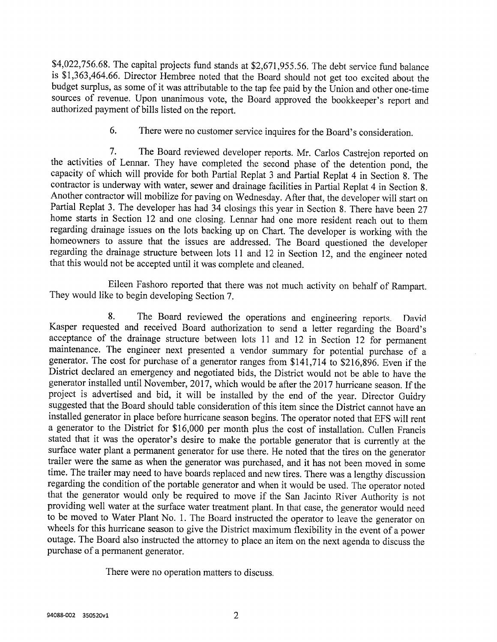\$4,022,756.68. The capital projects fund stands at \$2,671,955.56. The debt service fund balance is \$1,363,464.66. Director Hembree noted that the Board should not get too excited about the budget surplus, as some of it was

6. There were no customer service inquires for the Board's consideration.

7. The Board reviewed developer reports. Mr. Carlos Castrejon reported on the activities of Lennar. They have completed the second phase of the detention pond, the capacity of which will provide for both Partial Replat 3 a

Eileen Fashoro reported that there was not much activity on behalf of Rampart. They would like to begin developing Section 7.

8. The Board reviewed the operations and engineering reports. David<br>Kasper requested and received Board authorization to send a letter regarding the Board's<br>acceptance of the drainage structure between lots 11 and 12 in Se

There were no operation matters to discuss.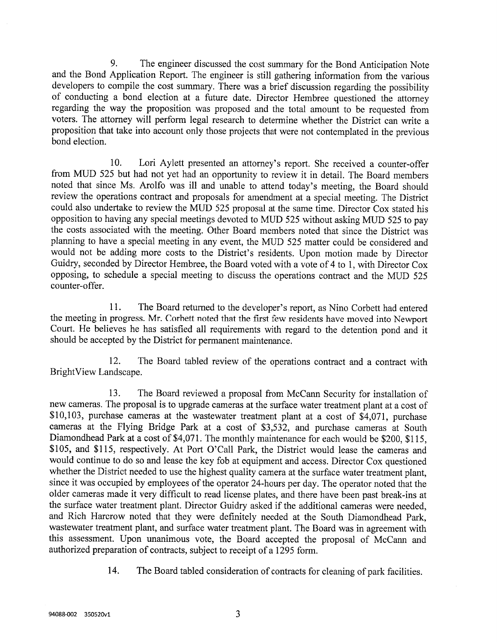9. The engineer discussed the cost summary for the Bond Anticipation Note<br>and the Bond Application Report. The engineer is still gathering information from the various<br>developers to compile the cost summary. There was a br voters. The attorney will perform legal research to determine whether the District can write a proposition that take into account only those projects that were not contemplated in the previous bond election.

10. Lori Aylett presented an attorney's report. She received a counter-offer from MUD 525 but had not yet had an opportunity to review it in detail. The Board members noted that since Ms. Arolfo was ill and unable to attend today's meeting, the Board should review the operations contract and proposals for amendment at a special meeting. The District could also undertake to review the MUD 525 proposal at the same time. Director Cox stated his opposition to having any special meetings devoted to MUD 525 without asking MUD 525 to pay the costs associated with the meeting. Other Board members noted that since the District was planning to have a special meeting in any event, the MUD 525 matter could be considered and would not be adding more costs to the District's residents. Upon motion made by Director Guidry, seconded by Director Hembree, the Board voted with a vote of 4 to 1, with Director Cox opposing, to schedule a special meeting to discuss the operations contract and the MUD 525 counter-offer.

11. The Board returned to the developer's report, as Nino Corbett had entered the meeting in progress. Mr. Corbett noted that the first few residents have moved into Newport Court. He believes he has satisfied all requirements with regard to the detention pond and it should be accepted by the District for permanent maintenance.

12. The Board tabled review of the operations contract and a contract with BrightView Landscape.

13. The Board reviewed a proposal from McCann Security for installation of new cameras. The proposal is to upgrade cameras at the surface water treatment plant at a cost of \$10,103, purchase cameras at the wastewater treatment plant at a cost of \$4,071, purchase cameras at the Flying Bridge Park at a cost of \$3,532, and purchase cameras at South Diamondhead Park at a cost of \$4,071. The mont would continue to do so and lease the key fob at equipment and access. Director Cox questioned whether the District needed to use the highest quality camera at the surface water treatment plant, since it was occupied by employees of the operator 24-hours per day. The operator noted that the older cameras made it very difficult to read license plates, and there have been past break-ins at the surface water treatment plant. Director Guidry asked if the additional cameras were needed, and Rich Harcrow noted that they were definitely needed at the South Diamondhead Park, wastewater treatment plant, and surface water treatment plant. The Board was in agreement with this assessment. Upon unanimous vote, the Board accepted the proposal of McCann and authorized preparation of contracts, subjec

14. The Board tabled consideration of contracts for cleaning of park facilities.